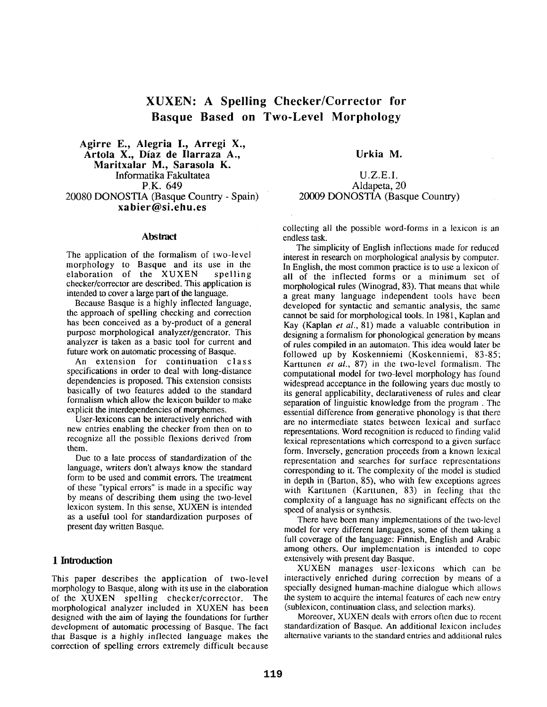# **XUXEN: A Spelling Checker/Corrector for Basque Based on Two-Level Morphology**

Agirre E., Alegria I., Arregi X., Artola X., Diaz de Ilarraza A., **Maritxalar M., Sarasola K.**  Informatika Fakultatea P.K. 649 20080 DONOSTIA (Basque Country - Spain) **xabier@si.ehu.es** 

#### **Abstract**

The application of the formalism of two-level morphology to Basque and its use in the<br>elaboration of the XUXEN spelling elaboration of the XUXEN checker/corrector are described. This application is intended to cover a large part of the language.

Because Basque is a highly inflected language, the approach of spelling checking and correction has been conceived as a by-product of a general purpose morphological analyzer/generator. This analyzer is taken as a basic tool for current and future work on automatic processing of Basque.

An extension for continuation class specifications in order to deal with long-distance dependencies is proposed. This extension consists basically of two features added to the standard formalism which allow the lexicon builder to make explicit the interdependencies of morphemes.

User-lexicons can be interactively enriched with new entries enabling the checker from then on to recognize all the possible flexions derived from them.

Due to a late process of standardization of the language, writers don't always know the standard form to be used and commit errors. The treatment of these "typical errors" is made in a specific way by means of describing them using the two-level lexicon system. In this sense, XUXEN is intended as a useful tool for standardization purposes of present day written Basque.

## **1 Inlroduclion**

This paper describes the application of two-level morphology to Basque, along with its use in the elaboration of the XUXEN spelling checker/corrector. The morphological analyzer included in XUXEN has been designed with the aim of laying the foundations for further development of automatic processing of Basque. The fact that Basque is a highly inflected language makes the correction of spelling errors extremely difficult because

**Urkia M.** 

# U.Z.E.I. Aldapeta, 20 20009 DONOSTIA (Basque Country)

collecting all the possible word-forms in a lexicon is an endless task.

The simplicity of English inflections made for reduced interest in research on morphological analysis by computer. In English, the most common practice is to use a lexicon of all of the inflected forms or a minimum set of morphological rules (Winograd, 83). That means that while a great many language independent tools have been developed for syntactic and semantic analysis, the same cannot be said for morphological tools. In 1981, Kaplan and Kay (Kaplan *et al.,* 81) made a valuable contribution in designing a formalism for phonological generation by means of rules compiled in an automaton. This idea would later be followed up by Koskenniemi (Koskenniemi, 83-85; Karttunen *et al.,* 87) in the two-level formalism. The computational model for two-level morphology has found widespread acceptance in the following years due mostly to its general applicability, declarativeness of rules and clear separation of linguistic knowledge from the program. The essential difference from generative phonology is that there are no intermediate states between lexical and surface representations. Word recognition is reduced to finding valid lexical representations which correspond to a given surface form. Inversely, generation proceeds from a known lexical representation and searches for surface representations corresponding to it. The complexity of the model is studied in depth in (Barton, 85), who with few exceptions agrees with Karttunen (Karttunen, 83) in feeling that the complexity of a language has no significant effects on the speed of analysis or synthesis.

There have been many implementations of the two-level model for very different languages, some of them taking a full coverage of the language: Finnish, English and Arabic among others. Our implementation is intended to cope extensively with present day Basque.

XUXEN manages user-lexicons which can be interactively enriched during correction by means of a specially designed human-machine dialogue which allows the system to acquire the internal features of each new entry (sublexicon, continuation class, and selection marks).

Moreover, XUXEN deals with errors often due to recent standardization of Basque. An additional lexicon includes alternative variants to the standard entries and additional rules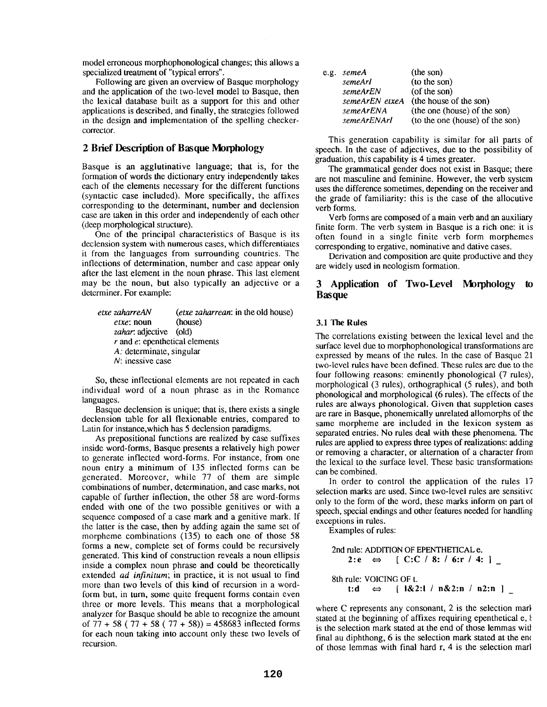model erroneous morphophonological changes; this allows a specialized treatment of "typical errors".

Following are given an overview of Basque morphology and the application of the two-level model to Basque, then the lexical database built as a support for this and other applications is described, and finally, the strategies followed in the design and implementation of the spelling checkercorrector.

### **2 Brief Description of Basque Morphology**

Basque is an agglutinative language; that is, for the formation of words the dictionary entry independently takes each of the elements necessary for the different functions (syntactic case included). More specifically, the affixes corresponding to the determinant, number and declension case are taken in this order and independently of each other (deep morphological structure).

One of the principal characteristics of Basque is its declension system with numerous cases, which differentiates it from the languages from surrounding countries. The inflections of determination, number and case appear only after the last element in the noun phrase. This last element may be the noun, but also typically an adjective or a determiner. For example:

| etxe zaharreAN                      | ( <i>etxe zaharrean</i> : in the old house) |  |
|-------------------------------------|---------------------------------------------|--|
| $etxe:$ noun                        | (house)                                     |  |
| zahar: adjective (old)              |                                             |  |
| $r$ and $e$ : epenthetical elements |                                             |  |
| A: determinate, singular            |                                             |  |
| $N$ : inessive case                 |                                             |  |

So, these inflectional elements are not repeated in each individual word of a noun phrase as in the Romance languages.

Basque declension is unique; that is, there exists a single declension table for all flexionable entries, compared to Latin for instance,which has 5 declension paradigms.

As prepositional functions are realized by case suffixes inside word-forms, Basque presents a relatively high power to generate inflected word-forms. For instance, from one noun entry a minimum of 135 inflected forms can be generated. Moreover, while 77 of them are simple combinations of number, determination, and case marks, not capable of further inflection, the other 58 are word-forms ended with one of the two possible genitives or with a sequence composed of a case mark and a genitive mark. If the latter is the case, then by adding again the same set of morpheme combinations (135) to each one of those 58 forms a new, complete set of forms could be recursively generated. This kind of construction reveals a noun ellipsis inside a complex noun phrase and could be theoretically extended *ad infinitum;* in practice, it is not usual to find more than two levels of this kind of recursion in a wordform but, in turn, some quite frequent forms contain even three or more levels. This means that a morphological analyzer for Basque should be able to recognize the amount of  $77 + 58 (77 + 58 (77 + 58)) = 458683$  inflected forms for each noun taking into account only these two levels of recursion.

| e.g. semeA  | (the son)                                    |
|-------------|----------------------------------------------|
| semeArI     | (to the son)                                 |
| semeArEN    | (of the son)                                 |
|             | <i>semeArEN etxeA</i> (the house of the son) |
| semeArENA   | (the one (house) of the son)                 |
| semeArENArI | (to the one (house) of the son)              |

This generation capability is similar for all parts of speech. In the case of adjectives, due to the possibility of graduation, this capability is 4 times greater.

The grammatical gender does not exist in Basque; there are not masculine and feminine. However, the verb system uses the difference sometimes, depending on the receiver and the grade of familiarity: this is the case of the allocutive verb forms.

Verb forms are composed of a main verb and an auxiliary finite form. The verb system in Basque is a rich one: it is often found in a single finite verb form morphemes corresponding to ergative, nominative and dative cases.

Derivation and composition are quite productive and they are widely used in neologism formation.

# **3 Application of Two-Level Morphology to Basque**

#### **3.1 The Rules**

The correlations existing between the lexical level and the surface level due to morphophonological transformations are expressed by means of the rules. In the case of Basque 21 two-level rules have been defined. These rules are due to the four following reasons: eminently phonological (7 rules), morphological (3 rules), orthographical (5 rules), and both phonological and morphological (6 rules). The effects of the rules are always phonological. Given that suppletion cases are rare in Basque, phonemically unrelated allomorphs of the same morpheme are included in the lexicon system as separated entries. No rules deal with these phenomena. The rules are applied to express three types of realizations: adding or removing a character, or alternation of a character from the lexical to the surface level. These basic transformations can be combined.

In order to control the application of the rules 17 selection marks are used. Since two-level rules are sensitive only to the form of the word, these marks inform on part ol speech, special endings and other features needed for handling exceptions in rules.

Examples of rules:

2nd rule: ADDITION OF EPENTHETICAL e. 2:e  $\Leftrightarrow$  [ C:C / 8: / 6:r / 4: ] 8th rule: VOICING OF t. **t:d** ⇔ [  $\frac{1&2:1}{1&8:2:1}$  n & 2:n / n 2:n ]

where C represents any consonant, 2 is the selection mark stated at the beginning of affixes requiring epenthetical  $e, \ell$ is the selection mark stated at the end of those lemmas witl final au diphthong, 6 is the selection mark stated at the em of those lemmas with final hard r, 4 is the selection marl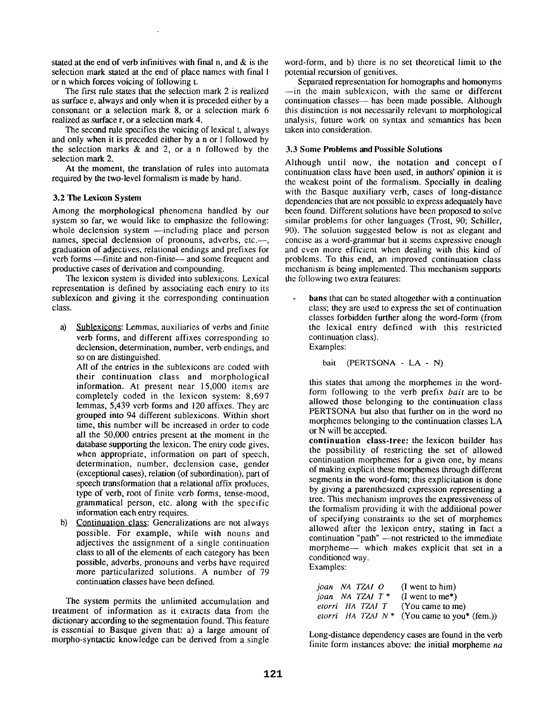stated at the end of verb infinitives with final n, and & is the selection mark stated at the end of place names with final 1 or n which forces voicing of following t.

The first rule states that the selection mark 2 is realized as surface e, always and only when it is preceded either by a consonant or a selection mark 8, or a selection mark 6 realized as surface r, or a selection mark 4.

The second rule specifies the voicing of lexical t, always and only when it is preceded either by a n or I followed by the selection marks & and 2, or a n followed by the selection mark 2.

At the moment, the translation of rules into automata required by the two-level formalism is made by hand.

#### **3.2 The Lexicon System**

Among the morphological phenomena handled by our system so far, we would like to emphasize the following: whole declension system --including place and person names, special declension of pronouns, adverbs, etc.--, graduation of adjectives, relational endings and prefixes for verb forms ---finite and non-finite--- and some frequent and productive cases of derivation and compounding.

The lexicon system is divided into sublexicons. Lexical representation is defined by associating each entry to its sublexicon and giving it the corresponding continuation class.

a) Sublexicons: Lemmas, auxiliaries of verbs and finite verb forms, and different affixes corresponding to declension, determination, number, verb endings, and so on are distinguished.

All of the entries in the sublexicons are coded with their continuation class and morphological information. At present near 15,000 items are completely coded in the lexicon system: 8,697 lemmas, 5,439 verb forms and 120 affixes. They are grouped into 94 different sublexicons. Within short time, this number will be increased in order to code all the 50,000 entries present at the moment in the database supporting the lexicon. The entry code gives, when appropriate, information on part of speech, determination, number, declension case, gender (exceptional cases), relation (of subordination), part of speech transformation that a relational affix produces, type of verb, root of finite verb forms, tense-mood, grammatical person, etc. along with the specific information each entry requires.

b) Continuation class: Generalizations are not always possible. For example, while with nouns and adjectives the assignment of a single continuation class to all of the elements of each category has been possible, adverbs, pronouns and verbs have required more particularized solutions. A number of 79 continuation classes have been defined.

The system permits the unlimited accumulation and treatment of information as it extracts data from the dictionary according to the segmentation found. This feature is essential to Basque given that: a) a large amount of morpho-syntactic knowledge can be derived from a single word-form, and b) there is no set theoretical limit to the potential recursion of genitives.

Separated representation for homographs and homonyms --in the main sublexicon, with the same or different continuation classes— has been made possible. Although this distinction is not necessarily relevant to morphological analysis, future work on syntax and semantics has been taken into consideration.

### **3.3 Some Problems and Possible Solutions**

Although until now, the notation and concept of continuation class have been used, in authors' opinion it is the weakest point of the formalism. Specially in dealing with the Basque auxiliary verb, cases of long-distance dependencies that are not possible to express adequately have been found. Different solutions have been proposed to solve similar problems for other languages (Trost, 90; Schiller, 90). The solution suggested below is not as elegant and concise as a word-grammar but it seems expressive enough and even more efficient when dealing with this kind of problems. To this end, an improved continuation class mechanism is being implemented. This mechanism supports the following two extra features:

**bans** that can be stated altogether with a continuation class; they are used to express the set of continuation classes forbidden further along the word-form (from the lexical entry defined with this restricted continuation class).

Examples:

bait (PERTSONA - LA - N)

this states that among the morphemes in the wordform following to the verb prefix *bait* are to be allowed those belonging to the continuation class PERTSONA but also that further on in the word no morphemes belonging to the continuation classes LA or N will be accepted.

**continuation class-tree:** the lexicon builder has the possibility of restricting the set of allowed continuation morphemes for a given one, by means of making explicit these morphemes through different segments in the word-form; this explicitation is done by giving a parenthesized expression representing a tree. This mechanism improves the expressiveness of the formalism providing it with the additional power of specifying constraints to the set of morphemes allowed after the lexicon entry, stating in fact a continuation "path" -- not restricted to the immediate morpheme-- which makes explicit that set in a conditioned way. Examples:

| ioan NA TZAI O            | $(I$ went to him)                                                 |
|---------------------------|-------------------------------------------------------------------|
| <i>joan</i> NA TZAI $T^*$ | $(I$ went to me <sup>*</sup> )                                    |
|                           | <i>etorri</i> HA TZAI T (You came to me)                          |
|                           | <i>etorri</i> HA TZAI $N^*$ (You came to you <sup>*</sup> (fem.)) |

Long-distance dependency cases are found in the verb finite form instances above: the initial morpheme *na*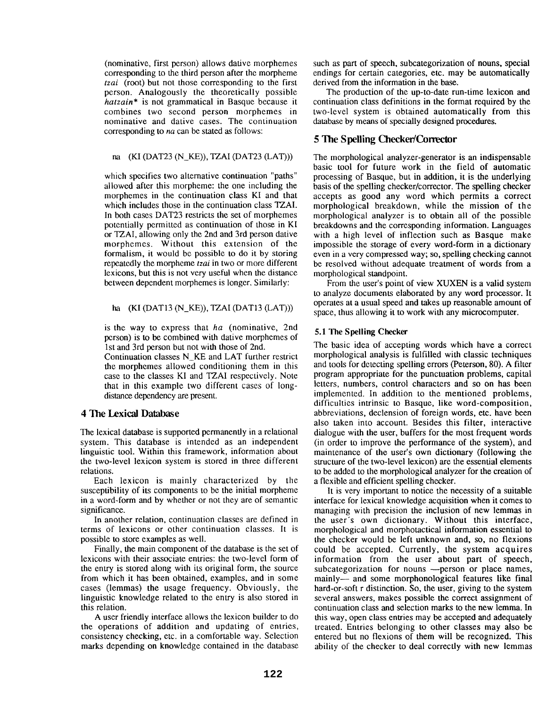(nominative, first person) allows dative morphemes corresponding to the third person after the morpheme *tzai* (root) but not those corresponding to the first person. Analogously the theoretically possible *hatzain\** is not grammatical in Basque because it combines two second person morphemes in nominative and dative cases. The continuation corresponding to *na* can be stated as follows:

#### na (KI (DAT23 (N\_KE)), TZAI (DAT23 (LAT)))

which specifies two alternative continuation "paths" allowed after this morpheme: the one including the morphemes in the continuation class KI and that which includes those in the continuation class TZAI. In both cases DAT23 restricts the set of morphemes potentially permitted as continuation of those in KI or TZAI, allowing only the 2nd and 3rd person dative morphemes. Without this extension of the formalism, it would be possible to do it by storing repeatedly the morpheme *tzai* in two or more different lexicons, but this is not very useful when the distance between dependent morphemes is longer. Similarly:

#### ha (KI (DAT13 (N\_KE)), TZAI (DAT13 (LAT)))

is the way to express that *ha* (nominative, 2nd person) is to be combined with dative morphemes of 1st and 3rd person but not with those of 2nd.

Continuation classes N\_KE and LAT further restrict the morphemes allowed conditioning them in this case to the classes KI and TZAI respectively. Note that in this example two different cases of longdistance dependency are present.

## 4 The Lexical Database

The lexical database is supported permanently in a relational system. This database is intended as an independent linguistic tool. Within this framework, information about the two-level lexicon system is stored in three different relations.

Each lexicon is mainly characterized by the susceptibility of its components to be the initial morpheme in a word-form and by whether or not they are of semantic significance.

In another relation, continuation classes are defined in terms of lexicons or other continuation classes. It is possible to store examples as well.

Finally, the main component of the database is the set of lexicons with their associate entries: the two-level form of the entry is stored along with its original form, the source from which it has been obtained, examples, and in some cases (lemmas) the usage frequency. Obviously, the linguistic knowledge related to the entry is also stored in this relation.

A user friendly interface allows the lexicon builder to do the operations of addition and updating of entries, consistency checking, etc. in a comfortable way. Selection marks depending on knowledge contained in the database such as part of speech, subcategorization of nouns, special endings for certain categories, etc. may be automatically derived from the information in the base.

The production of the up-to-date run-time lexicon and continuation class definitions in the format required by the two-level system is obtained automatically from this database by means of specially designed procedures.

# 5 The Spelling Checker/Corrector

The morphological analyzer-generator is an indispensable basic tool for future work in the field of automatic processing of Basque, but in addition, it is the underlying basis of the spelling checker/corrector. The spelling checker accepts as good any word which permits a correct morphological breakdown, while the mission of the morphological analyzer is to obtain all of the possible breakdowns and the corresponding information. Languages with a high level of inflection such as Basque make impossible the storage of every word-form in a dictionary even in a very compressed way; so, spelling checking cannot be resolved without adequate treatment of words from a morphological standpoint.

From the user's point of view XUXEN is a valid system to analyze documents elaborated by any word processor. It operates at a usual speed and takes up reasonable amount of space, thus allowing it to work with any microcomputer.

#### 5.1 The Spelling Checker

The basic idea of accepting words which have a correct morphological analysis is fulfilled with classic techniques and tools for detecting spelling errors (Peterson, 80). A filter program appropriate for the punctuation problems, capital letters, numbers, control characters and so on has been implemented. In addition to the mentioned problems, difficulties intrinsic to Basque, like word-composition, abbreviations, declension of foreign words, etc. have been also taken into account. Besides this filter, interactive dialogue with the user, buffers for the most frequent words (in order to improve the performance of the system), and maintenance of the user's own dictionary (following the structure of the two-level lexicon) are the essential elements to be added to the morphological analyzer for the creation of a flexible and efficient spelling checker.

It is very important to notice the necessity of a suitable interface for lexical knowledge acquisition when it comes to managing with precision the inclusion of new lemmas in the user's own dictionary. Without this interface, morphological and morphotactical information essential to the checker would be left unknown and, so, no flexions could be accepted. Currently, the system acquires information from the user about part of speech, subcategorization for nouns -- person or place names, mainly-- and some morphonological features like final hard-or-soft r distinction. So, the user, giving to the system several answers, makes possible the correct assignment of continuation class and selection marks to the new lemma. In this way, open class entries may be accepted and adequately treated. Entries belonging to other classes may also be entered but no flexions of them will be recognized. This ability of the checker to deal correctly with new lemmas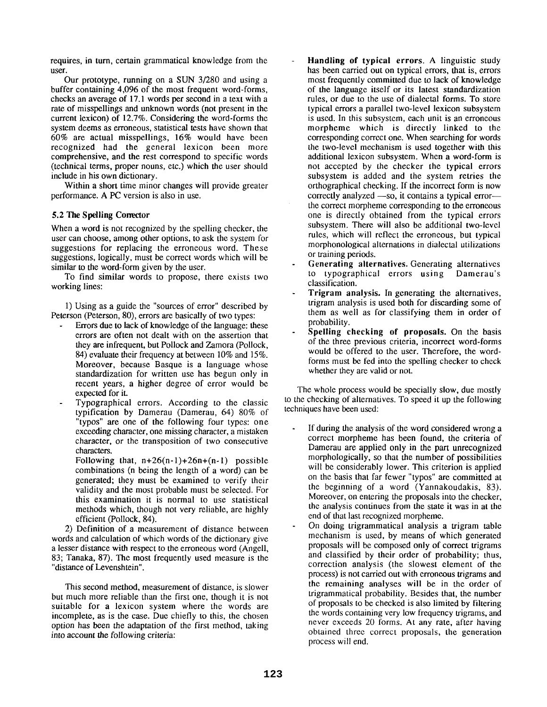requires, in turn, certain grammatical knowledge from the user.

Our prototype, running on a SUN 3/280 and using a buffer containing 4,096 of the most frequent word-forms, checks an average of 17.1 words per second in a text with a rate of misspellings and unknown words (not present in the current lexicon) of 12.7%. Considering the word-forms the system deems as erroneous, statistical tests have shown that 60% are actual misspellings, 16% would have been recognized had the general lexicon been more comprehensive, and the rest correspond to specific words (technical terms, proper nouns, etc.) which the user should include in his own dictionary.

Within a short time minor changes will provide greater performance. A PC version is also in use.

## 5.2 The Spelling Conector

When a word is not recognized by the spelling checker, the user can choose, among other options, to ask the system for suggestions for replacing the erroneous word. These suggestions, logically, must be correct words which will be similar to the word-form given by the user.

To find similar words to propose, there exists two working lines:

1) Using as a guide the "sources of error" described by Peterson (Peterson, 80), errors are basically of two types:

- Errors due to lack of knowledge of the language: these errors are often not dealt with on the assertion that they are infrequent, but Pollock and Zamora (Pollock, 84) evaluate their frequency at between 10% and 15%. Moreover, because Basque is a language whose standardization for written use has begun only in recent years, a higher degree of error would be expected for it.
- Typographical errors. According to the classic typification by Damerau (Damerau, 64) 80% of "typos" are one of the following four types: one exceeding character, one missing character, a mistaken character, or the transposition of two consecutive characters.

Following that,  $n+26(n-1)+26n+(n-1)$  possible combinations (n being the length of a word) can be generated; they must be examined to verify their validity and the most probable must be selected. For this examination it is normal to use statistical methods which, though not very reliable, are highly efficient (Pollock, 84).

2) Definition of a measurement of distance between words and calculation of which words of the dictionary give a lesser distance with respect to the erroneous word (Angell, 83; Tanaka, 87). The most frequently used measure is the "distance of Levenshtein".

This second method, measurement of distance, is slower but much more reliable than the first one, though it is not suitable for a lexicon system where the words are incomplete, as is the case. Due chiefly to this, the chosen option has been the adaptation of the first method, taking into account the following criteria:

- **Handling of typical errors.** A linguistic study has been carried out on typical errors, that is, errors most frequently committed due to lack of knowledge of the language itself or its latest standardization rules, or due to the use of dialectal forms. To store typical errors a parallel two-level lexicon subsystem is used. In this subsystem, each unit is an erroneous morpheme which is directly linked to the corresponding correct one. When searching for words the two-level mechanism is used together with this additional lexicon subsystem. When a word-form is not accepted by the checker the typical errors subsystem is added and the system retries the orthographical checking. If the incorrect form is now correctly analyzed  $-$ so, it contains a typical error $$ the correct morpheme corresponding to the erroneous one is directly obtained from the typical errors subsystem. There will also be additional two-level rules, which will reflect the erroneous, but typical morphonological alternations in dialectal utilizations or training periods.
- **Generating** alternatives. Generating alternatives to typographical errors using Damerau's classification.
- Trigram analysis. In generating the alternatives, trigram analysis is used both for discarding some of them as well as for classifying them in order of probability.
- Spelling **checking of** proposals. On the basis of the three previous criteria, incorrect word-forms would be offered to the user. Therefore, the wordforms must be ted into the spelling checker to check whether they are valid or not.

The whole process would be specially slow, due mostly to the checking of alternatives. To speed it up the following techniques have been used:

- If during the analysis of the word considered wrong a correct morpheme has been found, the criteria of Damerau are applied only in the part unrecognized morphologically, so that the number of possibilities will be considerably lower. This criterion is applied on the basis that far fewer "typos" are committed at the beginning of a word (Yannakoudakis, 83). Moreover, on entering the proposals into the checker, the analysis continues from the state it was in at the end of that last recognized morpheme.
- On doing trigrammatical analysis a trigram table mechanism is used, by means of which generated proposals will be composed only of correct trigrams and classified by their order of probability; thus, correction analysis (the slowest element of the process) is not carried out with erroneous trigrams and the remaining analyses will be in the order of trigrammatical probability. Besides that, the number of proposals to be checked is also limited by filtering the words containing very low frequency trigrams, and never exceeds 20 forms. At any rate, after having obtained three correct proposals, the generation process will end.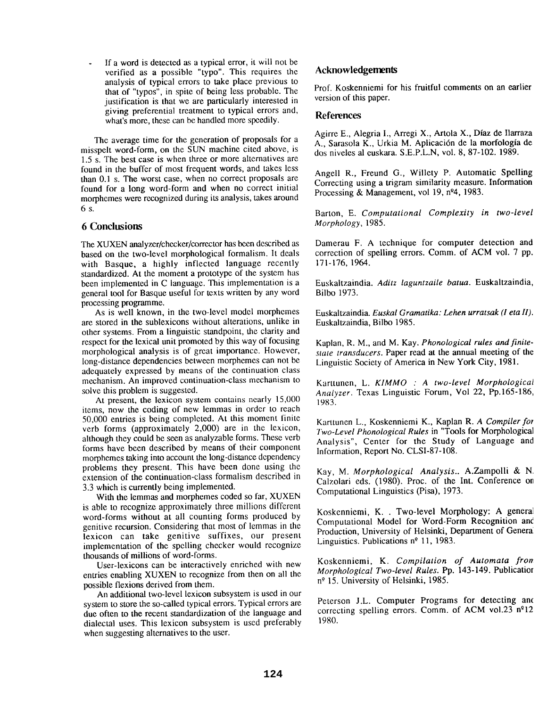If a word is detected as a typical error, it will not be verified as a possible "typo". This requires the analysis of typical errors to take place previous to that of "typos", in spite of being less probable. The justification is that we are particularly interested in giving preferential treatment to typical errors and, what's more, these can be handled more speedily.

The average time for the generation of proposals for a misspelt word-form, on the SUN machine cited above, is 1.5 s. The best case is when three or more alternatives are found in the buffer of most frequent words, and takes less than 0.1 s. The worst case, when no correct proposals are found for a long word-form and when no correct initial morphemes were recognized during its analysis, takes around 6s.

## **6 Conclusions**

The XUXEN analyzer/checker/corrector has been described as based on the two-level morphological formalism. It deals with Basque, a highly inflected language recently standardized. At the moment a prototype of the system has been implemented in C language. This implementation is a general tool for Basque useful for texts written by any word processing programme.

As is well known, in the two-level model morphemes are stored in the sublexicons without alterations, unlike in other systems. From a linguistic standpoint, the clarity and respect for the lexical unit promoted by this way of focusing morphological analysis is of great importance. However, long-distance dependencies between morphemes can not be adequately expressed by means of the continuation class mechanism. An improved continuation-class mechanism to solve this problem is suggested.

At present, the lexicon system contains nearly 15,000 items, now the coding of new iemmas in order to reach 50,000 entries is being completed. At this moment finite verb forms (approximately 2,000) are in the lexicon, although they could be seen as analyzable forms. These verb forms have been described by means of their component morphemes taking into account the long-distance dependency problems they present. This have been done using the extension of the continuation-class formalism described in 3.3 which is currently being implemented.

With the lemmas and morphemes coded so far, XUXEN is able to recognize approximately three millions different word-forms without at all counting forms produced by genitive recursion. Considering that most of lemmas in the lexicon can take genitive suffixes, our present implementation of the spelling checker would recognize thousands of millions of word-forms.

User-lexicons can be interactively enriched with new entries enabling XUXEN to recognize from then on all the possible flexions derived from them.

An additional two-level lexicon subsystem is used in our system to store the so-called typical errors. Typical errors are due often to the recent standardization of the language and dialectal uses. This lexicon subsystem is used preferably when suggesting alternatives to the user.

# **Acknowledgements**

Prof. Koskenniemi for his fruitful comments on an earlier version of this paper.

#### **References**

Agirre E., Alegria I., Arregi X., Artola X., Diaz de Ilarraza A., Sarasola K., Urkia M. Aplicación de la morfología de dos niveles al euskara. S.E.P.L.N, vol. 8, 87-102. 1989.

Angell R., Freund G., Willety P. Automatic Spelling Correcting using a trigram similarity measure. Information Processing & Management, vol 19,  $n^{\circ}4$ , 1983.

Barton, E. *Computational Complexity in two-level Morphology,* 1985.

Damerau F. A technique for computer detection and correction of spelling errors. Comm. of ACM vol. 7 pp. 171-176, 1964.

Euskaltzaindia. *Aditz laguntzaile batua.* Euskaltzaindia, Bilbo 1973.

Euskaltzaindia. *Euskal Gramatika: Lehen urratsak (I eta II).*  Euskaltzaindia, Bilbo 1985.

Kaplan, R. M., and M. Kay. *Phonological rules and finitestate transducers.* Paper read at the annual meeting of the Linguistic Society of America in New York City, 1981.

Karttunen, L. *KIMMO : A two-level Morphological Analyzer.* Texas Linguistic Forum, Vol 22, Pp.165-186, 1983.

Karttunen L., Koskenniemi K., Kaplan *R. A Compiler for Two-Level Phonological Rules* in "Tools for Morphological Analysis", Center for the Study of Language and Information, Report No. CLSI-87-108.

Kay, M. *Morphological Analysis..* A.Zampolli & N Calzolari eds. (1980). Proc. of the Int. Conference on Computational Linguistics (Pisa), 1973.

Koskenniemi, K.. Two-level Morphology: A genera] Computational Model for Word-Form Recognition and Production, University of Helsinki, Department of General Linguistics. Publications  $n^{\circ}$  11, 1983.

Koskenniemi, K. *Compilation of Automata fror~ Morphological Two-level Rules.* Pp. 143-149. Publicatior  $n^{\circ}$  15. University of Helsinki, 1985.

Peterson J.L. Computer Programs for detecting anc correcting spelling errors. Comm. of ACM vol.23  $n^{\circ}12$ 1980.